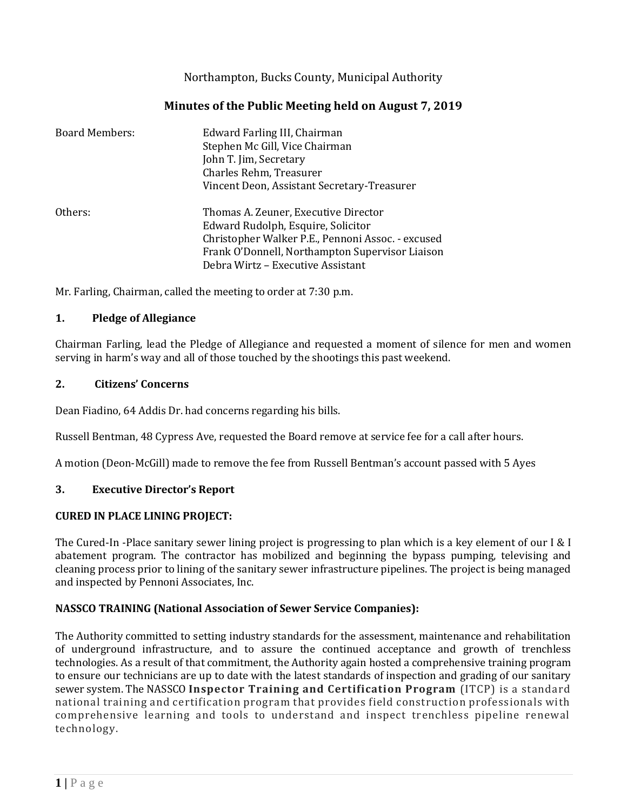Northampton, Bucks County, Municipal Authority

## **Minutes of the Public Meeting held on August 7, 2019**

| <b>Board Members:</b> | Edward Farling III, Chairman<br>Stephen Mc Gill, Vice Chairman<br>John T. Jim, Secretary<br>Charles Rehm, Treasurer<br>Vincent Deon, Assistant Secretary-Treasurer                                                      |
|-----------------------|-------------------------------------------------------------------------------------------------------------------------------------------------------------------------------------------------------------------------|
| Others:               | Thomas A. Zeuner, Executive Director<br>Edward Rudolph, Esquire, Solicitor<br>Christopher Walker P.E., Pennoni Assoc. - excused<br>Frank O'Donnell, Northampton Supervisor Liaison<br>Debra Wirtz - Executive Assistant |

Mr. Farling, Chairman, called the meeting to order at 7:30 p.m.

### **1. Pledge of Allegiance**

Chairman Farling, lead the Pledge of Allegiance and requested a moment of silence for men and women serving in harm's way and all of those touched by the shootings this past weekend.

#### **2. Citizens' Concerns**

Dean Fiadino, 64 Addis Dr. had concerns regarding his bills.

Russell Bentman, 48 Cypress Ave, requested the Board remove at service fee for a call after hours.

A motion (Deon-McGill) made to remove the fee from Russell Bentman's account passed with 5 Ayes

### **3. Executive Director's Report**

### **CURED IN PLACE LINING PROJECT:**

The Cured-In -Place sanitary sewer lining project is progressing to plan which is a key element of our I & I abatement program. The contractor has mobilized and beginning the bypass pumping, televising and cleaning process prior to lining of the sanitary sewer infrastructure pipelines. The project is being managed and inspected by Pennoni Associates, Inc.

### **NASSCO TRAINING (National Association of Sewer Service Companies):**

The Authority committed to setting industry standards for the assessment, maintenance and rehabilitation of underground infrastructure, and to assure the continued acceptance and growth of trenchless technologies. As a result of that commitment, the Authority again hosted a comprehensive training program to ensure our technicians are up to date with the latest standards of inspection and grading of our sanitary sewer system. The NASSCO **Inspector Training and Certification Program** (ITCP) is a standard national training and certification program that provides field construction professionals with comprehensive learning and tools to understand and inspect trenchless pipeline renewal technology.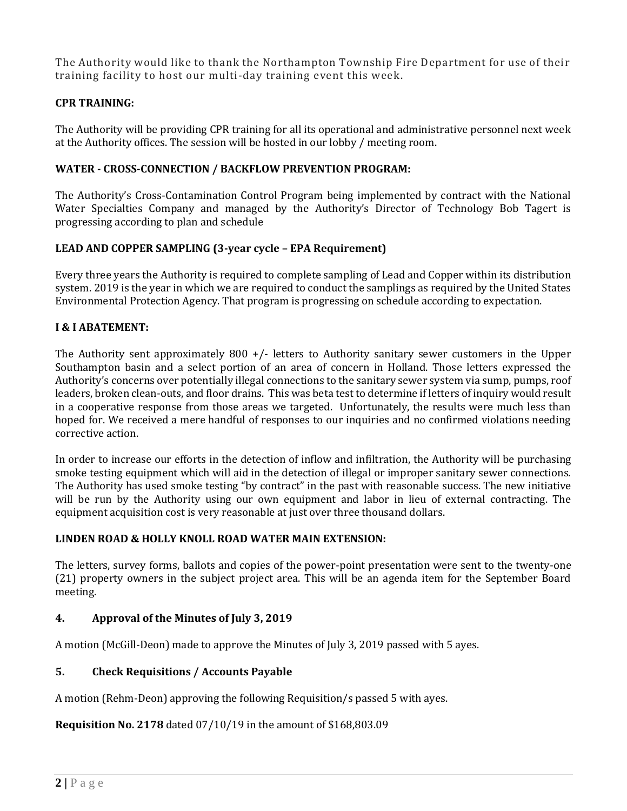The Authority would like to thank the Northampton Township Fire Department for use of their training facility to host our multi-day training event this week.

### **CPR TRAINING:**

The Authority will be providing CPR training for all its operational and administrative personnel next week at the Authority offices. The session will be hosted in our lobby / meeting room.

### **WATER - CROSS-CONNECTION / BACKFLOW PREVENTION PROGRAM:**

The Authority's Cross-Contamination Control Program being implemented by contract with the National Water Specialties Company and managed by the Authority's Director of Technology Bob Tagert is progressing according to plan and schedule

### **LEAD AND COPPER SAMPLING (3-year cycle – EPA Requirement)**

Every three years the Authority is required to complete sampling of Lead and Copper within its distribution system. 2019 is the year in which we are required to conduct the samplings as required by the United States Environmental Protection Agency. That program is progressing on schedule according to expectation.

### **I & I ABATEMENT:**

The Authority sent approximately  $800 +/-$  letters to Authority sanitary sewer customers in the Upper Southampton basin and a select portion of an area of concern in Holland. Those letters expressed the Authority's concerns over potentially illegal connections to the sanitary sewer system via sump, pumps, roof leaders, broken clean-outs, and floor drains. This was beta test to determine if letters of inquiry would result in a cooperative response from those areas we targeted. Unfortunately, the results were much less than hoped for. We received a mere handful of responses to our inquiries and no confirmed violations needing corrective action.

In order to increase our efforts in the detection of inflow and infiltration, the Authority will be purchasing smoke testing equipment which will aid in the detection of illegal or improper sanitary sewer connections. The Authority has used smoke testing "by contract" in the past with reasonable success. The new initiative will be run by the Authority using our own equipment and labor in lieu of external contracting. The equipment acquisition cost is very reasonable at just over three thousand dollars.

### **LINDEN ROAD & HOLLY KNOLL ROAD WATER MAIN EXTENSION:**

The letters, survey forms, ballots and copies of the power-point presentation were sent to the twenty-one (21) property owners in the subject project area. This will be an agenda item for the September Board meeting.

### **4. Approval of the Minutes of July 3, 2019**

A motion (McGill-Deon) made to approve the Minutes of July 3, 2019 passed with 5 ayes.

### **5. Check Requisitions / Accounts Payable**

A motion (Rehm-Deon) approving the following Requisition/s passed 5 with ayes.

**Requisition No. 2178** dated 07/10/19 in the amount of \$168,803.09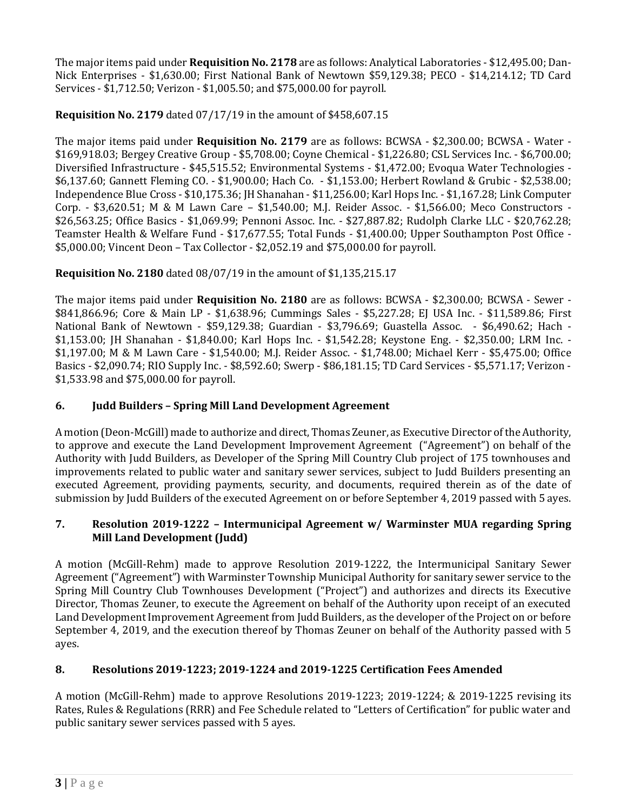The major items paid under **Requisition No. 2178** are as follows: Analytical Laboratories - \$12,495.00; Dan-Nick Enterprises - \$1,630.00; First National Bank of Newtown \$59,129.38; PECO - \$14,214.12; TD Card Services - \$1,712.50; Verizon - \$1,005.50; and \$75,000.00 for payroll.

## **Requisition No. 2179** dated 07/17/19 in the amount of \$458,607.15

The major items paid under **Requisition No. 2179** are as follows: BCWSA - \$2,300.00; BCWSA - Water - \$169,918.03; Bergey Creative Group - \$5,708.00; Coyne Chemical - \$1,226.80; CSL Services Inc. - \$6,700.00; Diversified Infrastructure - \$45,515.52; Environmental Systems - \$1,472.00; Evoqua Water Technologies - \$6,137.60; Gannett Fleming CO. - \$1,900.00; Hach Co. - \$1,153.00; Herbert Rowland & Grubic - \$2,538.00; Independence Blue Cross - \$10,175.36; JH Shanahan - \$11,256.00; Karl Hops Inc. - \$1,167.28; Link Computer Corp. - \$3,620.51; M & M Lawn Care – \$1,540.00; M.J. Reider Assoc. - \$1,566.00; Meco Constructors - \$26,563.25; Office Basics - \$1,069.99; Pennoni Assoc. Inc. - \$27,887.82; Rudolph Clarke LLC - \$20,762.28; Teamster Health & Welfare Fund - \$17,677.55; Total Funds - \$1,400.00; Upper Southampton Post Office - \$5,000.00; Vincent Deon – Tax Collector - \$2,052.19 and \$75,000.00 for payroll.

# **Requisition No. 2180** dated 08/07/19 in the amount of \$1,135,215.17

The major items paid under **Requisition No. 2180** are as follows: BCWSA - \$2,300.00; BCWSA - Sewer - \$841,866.96; Core & Main LP - \$1,638.96; Cummings Sales - \$5,227.28; EJ USA Inc. - \$11,589.86; First National Bank of Newtown - \$59,129.38; Guardian - \$3,796.69; Guastella Assoc. - \$6,490.62; Hach - \$1,153.00; JH Shanahan - \$1,840.00; Karl Hops Inc. - \$1,542.28; Keystone Eng. - \$2,350.00; LRM Inc. - \$1,197.00; M & M Lawn Care - \$1,540.00; M.J. Reider Assoc. - \$1,748.00; Michael Kerr - \$5,475.00; Office Basics - \$2,090.74; RIO Supply Inc. - \$8,592.60; Swerp - \$86,181.15; TD Card Services - \$5,571.17; Verizon - \$1,533.98 and \$75,000.00 for payroll.

## **6. Judd Builders – Spring Mill Land Development Agreement**

A motion (Deon-McGill) made to authorize and direct, Thomas Zeuner, as Executive Director of the Authority, to approve and execute the Land Development Improvement Agreement ("Agreement") on behalf of the Authority with Judd Builders, as Developer of the Spring Mill Country Club project of 175 townhouses and improvements related to public water and sanitary sewer services, subject to Judd Builders presenting an executed Agreement, providing payments, security, and documents, required therein as of the date of submission by Judd Builders of the executed Agreement on or before September 4, 2019 passed with 5 ayes.

### **7. Resolution 2019-1222 – Intermunicipal Agreement w/ Warminster MUA regarding Spring Mill Land Development (Judd)**

A motion (McGill-Rehm) made to approve Resolution 2019-1222, the Intermunicipal Sanitary Sewer Agreement ("Agreement") with Warminster Township Municipal Authority for sanitary sewer service to the Spring Mill Country Club Townhouses Development ("Project") and authorizes and directs its Executive Director, Thomas Zeuner, to execute the Agreement on behalf of the Authority upon receipt of an executed Land Development Improvement Agreement from Judd Builders, as the developer of the Project on or before September 4, 2019, and the execution thereof by Thomas Zeuner on behalf of the Authority passed with 5 ayes.

## **8. Resolutions 2019-1223; 2019-1224 and 2019-1225 Certification Fees Amended**

A motion (McGill-Rehm) made to approve Resolutions 2019-1223; 2019-1224; & 2019-1225 revising its Rates, Rules & Regulations (RRR) and Fee Schedule related to "Letters of Certification" for public water and public sanitary sewer services passed with 5 ayes.